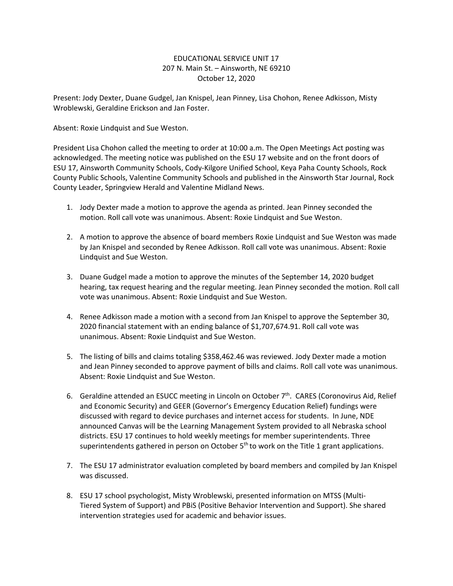## EDUCATIONAL SERVICE UNIT 17 207 N. Main St. – Ainsworth, NE 69210 October 12, 2020

Present: Jody Dexter, Duane Gudgel, Jan Knispel, Jean Pinney, Lisa Chohon, Renee Adkisson, Misty Wroblewski, Geraldine Erickson and Jan Foster.

Absent: Roxie Lindquist and Sue Weston.

President Lisa Chohon called the meeting to order at 10:00 a.m. The Open Meetings Act posting was acknowledged. The meeting notice was published on the ESU 17 website and on the front doors of ESU 17, Ainsworth Community Schools, Cody-Kilgore Unified School, Keya Paha County Schools, Rock County Public Schools, Valentine Community Schools and published in the Ainsworth Star Journal, Rock County Leader, Springview Herald and Valentine Midland News.

- 1. Jody Dexter made a motion to approve the agenda as printed. Jean Pinney seconded the motion. Roll call vote was unanimous. Absent: Roxie Lindquist and Sue Weston.
- 2. A motion to approve the absence of board members Roxie Lindquist and Sue Weston was made by Jan Knispel and seconded by Renee Adkisson. Roll call vote was unanimous. Absent: Roxie Lindquist and Sue Weston.
- 3. Duane Gudgel made a motion to approve the minutes of the September 14, 2020 budget hearing, tax request hearing and the regular meeting. Jean Pinney seconded the motion. Roll call vote was unanimous. Absent: Roxie Lindquist and Sue Weston.
- 4. Renee Adkisson made a motion with a second from Jan Knispel to approve the September 30, 2020 financial statement with an ending balance of \$1,707,674.91. Roll call vote was unanimous. Absent: Roxie Lindquist and Sue Weston.
- 5. The listing of bills and claims totaling \$358,462.46 was reviewed. Jody Dexter made a motion and Jean Pinney seconded to approve payment of bills and claims. Roll call vote was unanimous. Absent: Roxie Lindquist and Sue Weston.
- 6. Geraldine attended an ESUCC meeting in Lincoln on October 7<sup>th</sup>. CARES (Coronovirus Aid, Relief and Economic Security) and GEER (Governor's Emergency Education Relief) fundings were discussed with regard to device purchases and internet access for students. In June, NDE announced Canvas will be the Learning Management System provided to all Nebraska school districts. ESU 17 continues to hold weekly meetings for member superintendents. Three superintendents gathered in person on October  $5<sup>th</sup>$  to work on the Title 1 grant applications.
- 7. The ESU 17 administrator evaluation completed by board members and compiled by Jan Knispel was discussed.
- 8. ESU 17 school psychologist, Misty Wroblewski, presented information on MTSS (Multi-Tiered System of Support) and PBiS (Positive Behavior Intervention and Support). She shared intervention strategies used for academic and behavior issues.